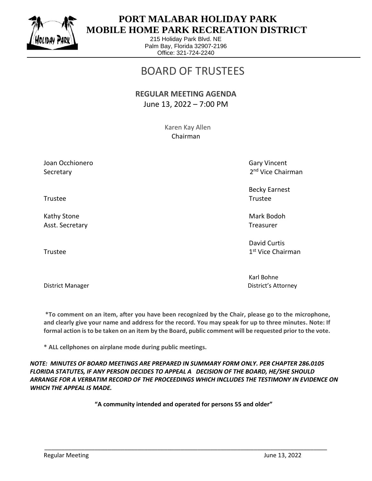

## **PORT MALABAR HOLIDAY PARK MOBILE HOME PARK RECREATION DISTRICT**

215 Holiday Park Blvd. NE Palm Bay, Florida 32907-2196 Office: 321-724-2240

# BOARD OF TRUSTEES

#### **REGULAR MEETING AGENDA** June 13, 2022 – 7:00 PM

 Karen Kay Allen Chairman

Joan Occhionero Gary Vincent Communication of the Gary Vincent Communication of Gary Vincent Secretary

2<sup>nd</sup> Vice Chairman

Becky Earnest

 David Curtis 1st Vice Chairman

Karl Bohne District Manager District's Attorney

**\*To comment on an item, after you have been recognized by the Chair, please go to the microphone, and clearly give your name and address for the record. You may speak for up to three minutes. Note: If formal action is to be taken on an item by the Board, public comment will be requested prior to the vote.**

**\* ALL cellphones on airplane mode during public meetings.**

*NOTE: MINUTES OF BOARD MEETINGS ARE PREPARED IN SUMMARY FORM ONLY. PER CHAPTER 286.0105 FLORIDA STATUTES, IF ANY PERSON DECIDES TO APPEAL A DECISION OF THE BOARD, HE/SHE SHOULD ARRANGE FOR A VERBATIM RECORD OF THE PROCEEDINGS WHICH INCLUDES THE TESTIMONY IN EVIDENCE ON WHICH THE APPEAL IS MADE.*

**"A community intended and operated for persons 55 and older"**

\_\_\_\_\_\_\_\_\_\_\_\_\_\_\_\_\_\_\_\_\_\_\_\_\_\_\_\_\_\_\_\_\_\_\_\_\_\_\_\_\_\_\_\_\_\_\_\_\_\_\_\_\_\_\_\_\_\_\_\_\_\_\_\_\_\_\_\_\_\_\_\_\_\_\_\_\_\_\_\_\_\_\_\_\_

Trustee Trustee

Kathy Stone Mark Bodoh Nark Bodoh Mark Bodoh Nark Bodoh Nark Bodoh Nark Bodoh Nark Bodoh Nark Bodoh Nark Bodoh Asst. Secretary Treasurer and the secretary of the secretary of the secretary of the secretary of the secretary

Trustee and the state of the state of the state of the state of the state of the state of the state of the state of the state of the state of the state of the state of the state of the state of the state of the state of th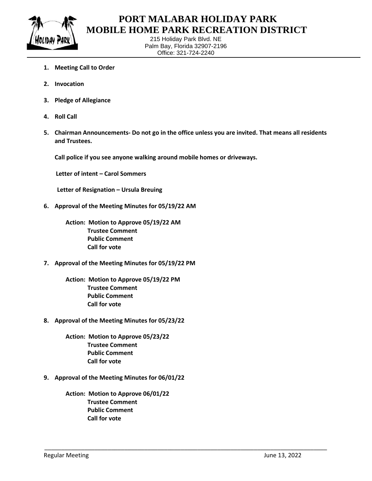

## **PORT MALABAR HOLIDAY PARK MOBILE HOME PARK RECREATION DISTRICT**

215 Holiday Park Blvd. NE Palm Bay, Florida 32907-2196 Office: 321-724-2240

- **1. Meeting Call to Order**
- **2. Invocation**
- **3. Pledge of Allegiance**
- **4. Roll Call**
- **5. Chairman Announcements- Do not go in the office unless you are invited. That means all residents and Trustees.**

\_\_\_\_\_\_\_\_\_\_\_\_\_\_\_\_\_\_\_\_\_\_\_\_\_\_\_\_\_\_\_\_\_\_\_\_\_\_\_\_\_\_\_\_\_\_\_\_\_\_\_\_\_\_\_\_\_\_\_\_\_\_\_\_\_\_\_\_\_\_\_\_\_\_\_\_\_\_\_\_\_\_\_\_\_

**Call police if you see anyone walking around mobile homes or driveways.**

 **Letter of intent – Carol Sommers**

 **Letter of Resignation – Ursula Breuing**

**6. Approval of the Meeting Minutes for 05/19/22 AM** 

**Action: Motion to Approve 05/19/22 AM Trustee Comment Public Comment Call for vote**

**7. Approval of the Meeting Minutes for 05/19/22 PM** 

**Action: Motion to Approve 05/19/22 PM Trustee Comment Public Comment Call for vote**

**8. Approval of the Meeting Minutes for 05/23/22** 

**Action: Motion to Approve 05/23/22 Trustee Comment Public Comment Call for vote**

**9. Approval of the Meeting Minutes for 06/01/22** 

**Action: Motion to Approve 06/01/22 Trustee Comment Public Comment Call for vote**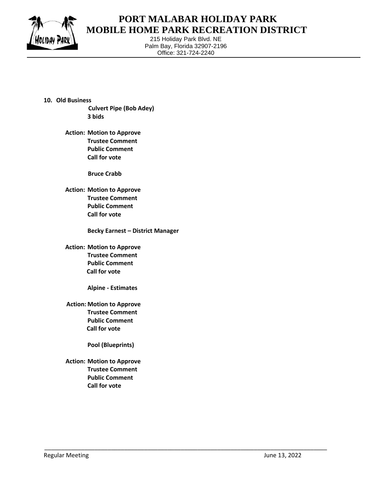

## **PORT MALABAR HOLIDAY PARK MOBILE HOME PARK RECREATION DISTRICT**

215 Holiday Park Blvd. NE Palm Bay, Florida 32907-2196 Office: 321-724-2240

\_\_\_\_\_\_\_\_\_\_\_\_\_\_\_\_\_\_\_\_\_\_\_\_\_\_\_\_\_\_\_\_\_\_\_\_\_\_\_\_\_\_\_\_\_\_\_\_\_\_\_\_\_\_\_\_\_\_\_\_\_\_\_\_\_\_\_\_\_\_\_\_\_\_\_\_\_\_\_\_\_\_\_\_\_

- **10. Old Business Culvert Pipe (Bob Adey) 3 bids**
	- **Action: Motion to Approve Trustee Comment Public Comment Call for vote**

 **Bruce Crabb**

 **Action: Motion to Approve Trustee Comment Public Comment Call for vote**

**Becky Earnest – District Manager**

 **Action: Motion to Approve Trustee Comment Public Comment Call for vote**

**Alpine - Estimates**

 **Action: Motion to Approve Trustee Comment Public Comment Call for vote**

**Pool (Blueprints)**

**Action: Motion to Approve Trustee Comment Public Comment Call for vote**